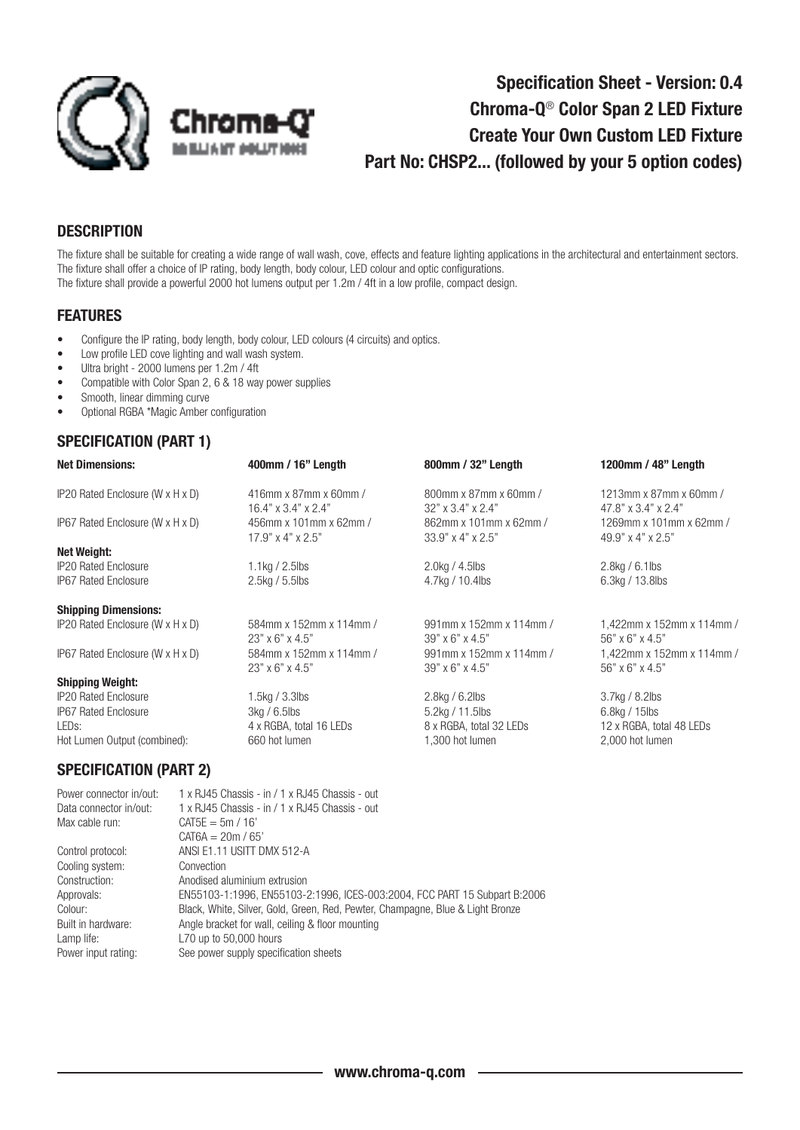

# Specification Sheet - Version: 0.4 Chroma-Q® Color Span 2 LED Fixture Create Your Own Custom LED Fixture Part No: CHSP2... (followed by your 5 option codes)

#### **DESCRIPTION**

The fixture shall be suitable for creating a wide range of wall wash, cove, effects and feature lighting applications in the architectural and entertainment sectors. The fixture shall offer a choice of IP rating, body length, body colour, LED colour and optic configurations. The fixture shall provide a powerful 2000 hot lumens output per 1.2m / 4ft in a low profile, compact design.

#### FEATURES

- Configure the IP rating, body length, body colour, LED colours (4 circuits) and optics.
- Low profile LED cove lighting and wall wash system.
- Ultra bright 2000 lumens per 1.2m / 4ft
- Compatible with Color Span 2, 6 & 18 way power supplies
- Smooth, linear dimming curve
- Optional RGBA \*Magic Amber configuration

### SPECIFICATION (PART 1)

| 400mm / 16" Length                                                             | 800mm / 32" Length                                                                 | 1200mm / 48" Length                                                            |
|--------------------------------------------------------------------------------|------------------------------------------------------------------------------------|--------------------------------------------------------------------------------|
| 416mm x 87mm x 60mm /<br>$16.4" \times 3.4" \times 2.4"$                       | 800mm x 87mm x 60mm /<br>$32"$ x $3.4"$ x $2.4"$                                   | 1213mm x 87mm x 60mm /<br>47.8" x 3.4" x 2.4"                                  |
| 456mm x 101mm x 62mm /<br>$17.9" \times 4" \times 2.5"$                        | 862mm x 101mm x 62mm /<br>$33.9"$ x 4" x 2.5"                                      | 1269mm x 101mm x 62mm /<br>49.9" x 4" x 2.5"                                   |
|                                                                                |                                                                                    |                                                                                |
| $1.1$ kg / 2.5lbs                                                              | 2.0kg / 4.5lbs                                                                     | $2.8$ kg / 6.1lbs                                                              |
| <b>IP67 Rated Enclosure</b><br>2.5kg / 5.5lbs                                  |                                                                                    | 6.3kg / 13.8lbs                                                                |
|                                                                                |                                                                                    |                                                                                |
| 584mm x 152mm x 114mm /<br>$23" \times 6" \times 4.5"$                         | 991mm x 152mm x 114mm /<br>$39" \times 6" \times 4.5"$                             | 1,422mm x 152mm x 114mm /<br>$56" \times 6" \times 4.5"$                       |
| 584mm x 152mm x 114mm /<br>$23" \times 6" \times 4.5"$                         | 991mm x 152mm x 114mm /<br>$39" \times 6" \times 4.5"$                             | 1,422mm x 152mm x 114mm /<br>$56" \times 6" \times 4.5"$                       |
|                                                                                |                                                                                    |                                                                                |
| $1.5$ kg / $3.3$ lbs<br>3kg/6.5lbs<br>4 x RGBA, total 16 LEDs<br>660 hot lumen | $2.8$ kg / 6.2lbs<br>5.2kg / 11.5lbs<br>8 x RGBA, total 32 LEDs<br>1,300 hot lumen | 3.7kg / 8.2lbs<br>6.8kg / 15lbs<br>12 x RGBA, total 48 LEDs<br>2,000 hot lumen |
|                                                                                |                                                                                    | 4.7kg / 10.4lbs                                                                |

#### SPECIFICATION (PART 2)

| Power connector in/out: | 1 x RJ45 Chassis - in / 1 x RJ45 Chassis - out                                 |
|-------------------------|--------------------------------------------------------------------------------|
| Data connector in/out:  | 1 x RJ45 Chassis - in / 1 x RJ45 Chassis - out                                 |
| Max cable run:          | $CAT5E = 5m / 16'$                                                             |
|                         | $CAT6A = 20m / 65'$                                                            |
| Control protocol:       | ANSI E1.11 USITT DMX 512-A                                                     |
| Cooling system:         | Convection                                                                     |
| Construction:           | Anodised aluminium extrusion                                                   |
| Approvals:              | EN55103-1:1996, EN55103-2:1996, ICES-003:2004, FCC PART 15 Subpart B:2006      |
| Colour:                 | Black, White, Silver, Gold, Green, Red, Pewter, Champagne, Blue & Light Bronze |
| Built in hardware:      | Angle bracket for wall, ceiling & floor mounting                               |
| Lamp life:              | L70 up to $50,000$ hours                                                       |
| Power input rating:     | See power supply specification sheets                                          |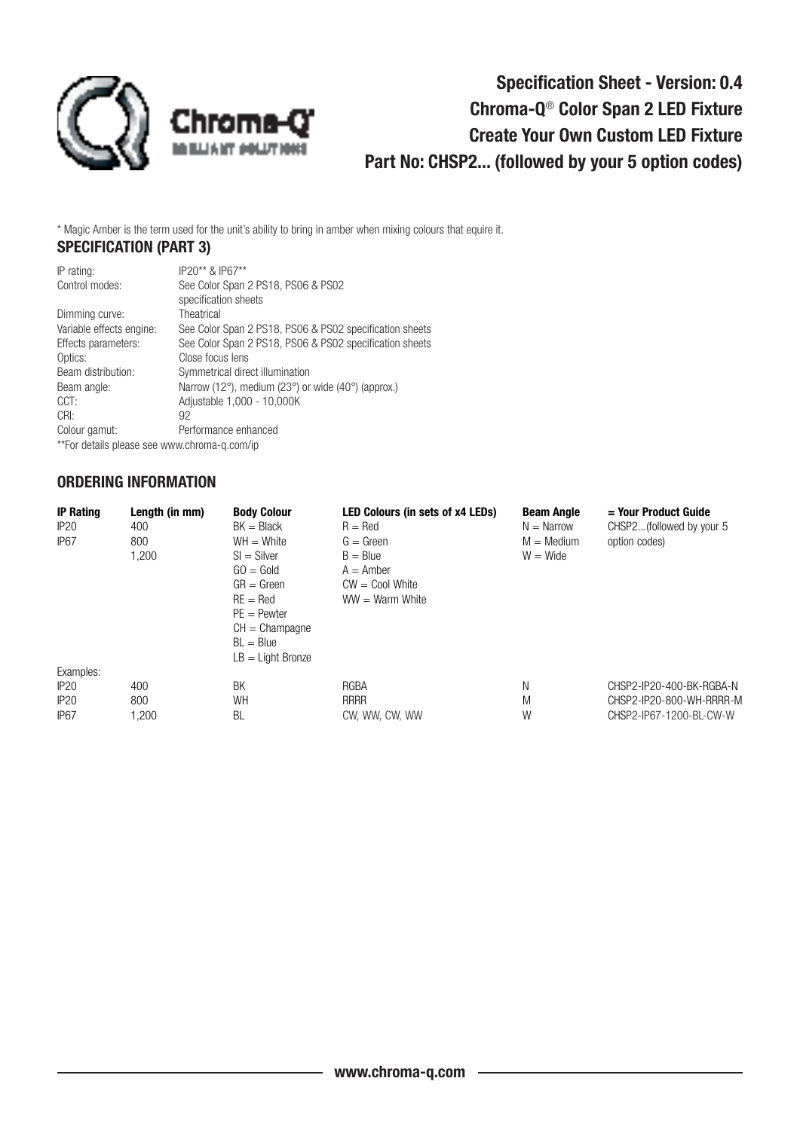

# Specification Sheet - Version: 0.4 Chroma-Q® Color Span 2 LED Fixture Create Your Own Custom LED Fixture Part No: CHSP2... (followed by your 5 option codes)

\* Magic Amber is the term used for the unit's ability to bring in amber when mixing colours that equire it.

## SPECIFICATION (PART 3)

| IP rating:                                   | IP20** & IP67**                                                                     |
|----------------------------------------------|-------------------------------------------------------------------------------------|
| Control modes:                               | See Color Span 2 PS18, PS06 & PS02                                                  |
|                                              | specification sheets                                                                |
| Dimming curve:                               | Theatrical                                                                          |
| Variable effects engine:                     | See Color Span 2 PS18, PS06 & PS02 specification sheets                             |
| Effects parameters:                          | See Color Span 2 PS18, PS06 & PS02 specification sheets                             |
| Optics:                                      | Close focus lens                                                                    |
| Beam distribution:                           | Symmetrical direct illumination                                                     |
| Beam angle:                                  | Narrow (12 $^{\circ}$ ), medium (23 $^{\circ}$ ) or wide (40 $^{\circ}$ ) (approx.) |
| CCT:                                         | Adjustable 1,000 - 10,000K                                                          |
| CRI:                                         | 92                                                                                  |
| Colour gamut:                                | Performance enhanced                                                                |
| **For details please see www.chroma-g.com/ip |                                                                                     |

### ORDERING INFORMATION

| <b>IP Rating</b> | Length (in mm) | <b>Body Colour</b>  | <b>LED Colours (in sets of x4 LEDs)</b> | <b>Beam Angle</b>   | $=$ Your Product Guide   |
|------------------|----------------|---------------------|-----------------------------------------|---------------------|--------------------------|
| IP20             | 400            | $BK = Black$        | $R = Red$                               | $N = \text{Narrow}$ | CHSP2(followed by your 5 |
| IP <sub>67</sub> | 800            | $WH = White$        | $G = Green$                             | $M = \text{Median}$ | option codes)            |
| 1,200            |                | $SI = Silver$       | $B = Blue$                              | $W = Wide$          |                          |
|                  |                | $GO = Gold$         | $A =$ Amber                             |                     |                          |
|                  |                | $GR = Green$        | $CW = Cool$ White                       |                     |                          |
|                  |                | $RE = Red$          | $WW = Warm White$                       |                     |                          |
|                  |                | $PE =$ Pewter       |                                         |                     |                          |
|                  |                | $CH = Champagne$    |                                         |                     |                          |
|                  |                | $BL = Blue$         |                                         |                     |                          |
|                  |                | $LB = Light Bronze$ |                                         |                     |                          |
| Examples:        |                |                     |                                         |                     |                          |
| IP20             | 400            | BK                  | RGBA                                    | Ν                   | CHSP2-IP20-400-BK-RGBA-N |
| IP20             | 800            | <b>WH</b>           | <b>RRRR</b>                             | M                   | CHSP2-IP20-800-WH-RRRR-M |
| IP <sub>67</sub> | 1,200          | BL                  | CW, WW, CW, WW                          | W                   | CHSP2-IP67-1200-BL-CW-W  |